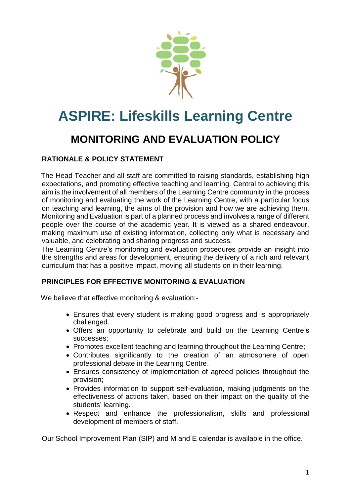

# **ASPIRE: Lifeskills Learning Centre**

## **MONITORING AND EVALUATION POLICY**

#### **RATIONALE & POLICY STATEMENT**

 The Head Teacher and all staff are committed to raising standards, establishing high expectations, and promoting effective teaching and learning. Central to achieving this aim is the involvement of all members of the Learning Centre community in the process of monitoring and evaluating the work of the Learning Centre, with a particular focus on teaching and learning, the aims of the provision and how we are achieving them. Monitoring and Evaluation is part of a planned process and involves a range of different people over the course of the academic year. It is viewed as a shared endeavour, making maximum use of existing information, collecting only what is necessary and valuable, and celebrating and sharing progress and success.

 The Learning Centre's monitoring and evaluation procedures provide an insight into the strengths and areas for development, ensuring the delivery of a rich and relevant curriculum that has a positive impact, moving all students on in their learning.

#### **PRINCIPLES FOR EFFECTIVE MONITORING & EVALUATION**

We believe that effective monitoring & evaluation:-

- Ensures that every student is making good progress and is appropriately challenged.
- Offers an opportunity to celebrate and build on the Learning Centre's successes;
- Promotes excellent teaching and learning throughout the Learning Centre;
- Contributes significantly to the creation of an atmosphere of open professional debate in the Learning Centre.
- Ensures consistency of implementation of agreed policies throughout the provision;
- Provides information to support self-evaluation, making judgments on the effectiveness of actions taken, based on their impact on the quality of the students' learning.
- Respect and enhance the professionalism, skills and professional development of members of staff.

Our School Improvement Plan (SIP) and M and E calendar is available in the office.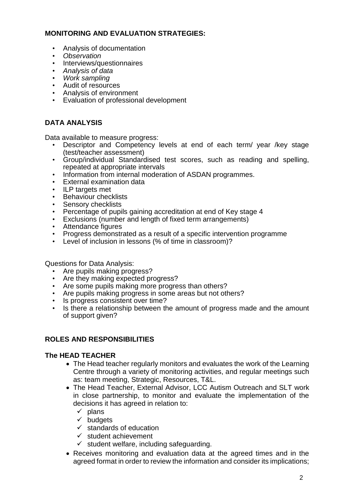#### **MONITORING AND EVALUATION STRATEGIES:**

- Analysis of documentation
- *Observation*
- Interviews/questionnaires
- *Analysis of data*
- *Work sampling*
- Audit of resources
- Analysis of environment
- Evaluation of professional development

### **DATA ANALYSIS**

Data available to measure progress:

- Descriptor and Competency levels at end of each term/ year /key stage (test/teacher assessment)
- Group/individual Standardised test scores, such as reading and spelling, repeated at appropriate intervals
- Information from internal moderation of ASDAN programmes.
- External examination data
- ILP targets met
- Behaviour checklists
- Sensory checklists
- Percentage of pupils gaining accreditation at end of Key stage 4
- Exclusions (number and length of fixed term arrangements)
- Attendance figures
- Progress demonstrated as a result of a specific intervention programme
- Level of inclusion in lessons (% of time in classroom)?

Questions for Data Analysis:

- Are pupils making progress?
- Are they making expected progress?
- Are some pupils making more progress than others?
- Are pupils making progress in some areas but not others?
- Is progress consistent over time?
- Is there a relationship between the amount of progress made and the amount of support given?

#### **ROLES AND RESPONSIBILITIES**

#### **The HEAD TEACHER**

- The Head teacher regularly monitors and evaluates the work of the Learning Centre through a variety of monitoring activities, and regular meetings such as: team meeting, Strategic, Resources, T&L.
- The Head Teacher, External Advisor, LCC Autism Outreach and SLT work in close partnership, to monitor and evaluate the implementation of the decisions it has agreed in relation to:
	- $\checkmark$  plans
	- ✓ budgets
	- $\checkmark$  standards of education
	- $\checkmark$  student achievement
	- $\checkmark$  student welfare, including safeguarding.
- Receives monitoring and evaluation data at the agreed times and in the agreed format in order to review the information and consider its implications;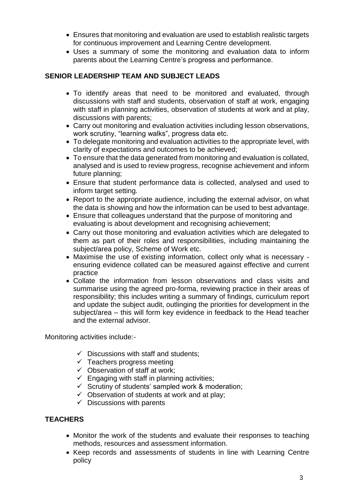- Ensures that monitoring and evaluation are used to establish realistic targets for continuous improvement and Learning Centre development.
- Uses a summary of some the monitoring and evaluation data to inform parents about the Learning Centre's progress and performance.

#### **SENIOR LEADERSHIP TEAM AND SUBJECT LEADS**

- To identify areas that need to be monitored and evaluated, through discussions with staff and students, observation of staff at work, engaging with staff in planning activities, observation of students at work and at play, discussions with parents;
- Carry out monitoring and evaluation activities including lesson observations, work scrutiny, "learning walks", progress data etc.
- To delegate monitoring and evaluation activities to the appropriate level, with clarity of expectations and outcomes to be achieved;
- To ensure that the data generated from monitoring and evaluation is collated, analysed and is used to review progress, recognise achievement and inform future planning;
- Ensure that student performance data is collected, analysed and used to inform target setting.
- Report to the appropriate audience, including the external advisor, on what the data is showing and how the information can be used to best advantage.
- Ensure that colleagues understand that the purpose of monitoring and evaluating is about development and recognising achievement;
- Carry out those monitoring and evaluation activities which are delegated to them as part of their roles and responsibilities, including maintaining the subject/area policy, Scheme of Work etc.
- Maximise the use of existing information, collect only what is necessary ensuring evidence collated can be measured against effective and current practice
- Collate the information from lesson observations and class visits and summarise using the agreed pro-forma, reviewing practice in their areas of responsibility; this includes writing a summary of findings, curriculum report and update the subject audit, outlinging the priorities for development in the subject/area – this will form key evidence in feedback to the Head teacher and the external advisor.

Monitoring activities include:-

- $\checkmark$  Discussions with staff and students;
- $\checkmark$  Teachers progress meeting
- $\checkmark$  Observation of staff at work;
- $\checkmark$  Engaging with staff in planning activities;
- $\checkmark$  Scrutiny of students' sampled work & moderation;
- $\checkmark$  Observation of students at work and at play;
- $\checkmark$  Discussions with parents

#### **TEACHERS**

- Monitor the work of the students and evaluate their responses to teaching methods, resources and assessment information.
- Keep records and assessments of students in line with Learning Centre policy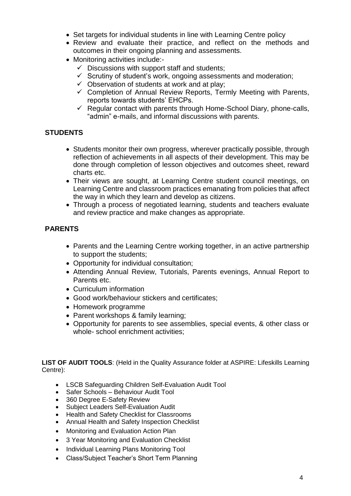- Set targets for individual students in line with Learning Centre policy
- Review and evaluate their practice, and reflect on the methods and outcomes in their ongoing planning and assessments.
- Monitoring activities include:-
	- $\checkmark$  Discussions with support staff and students;
	- $\checkmark$  Scrutiny of student's work, ongoing assessments and moderation;
	- $\checkmark$  Observation of students at work and at play;
	- $\checkmark$  Completion of Annual Review Reports, Termly Meeting with Parents, reports towards students' EHCPs.
	- $\checkmark$  Regular contact with parents through Home-School Diary, phone-calls, "admin" e-mails, and informal discussions with parents.

#### **STUDENTS**

- Students monitor their own progress, wherever practically possible, through reflection of achievements in all aspects of their development. This may be done through completion of lesson objectives and outcomes sheet, reward charts etc.
- Their views are sought, at Learning Centre student council meetings, on Learning Centre and classroom practices emanating from policies that affect the way in which they learn and develop as citizens.
- Through a process of negotiated learning, students and teachers evaluate and review practice and make changes as appropriate.

#### **PARENTS**

- Parents and the Learning Centre working together, in an active partnership to support the students;
- Opportunity for individual consultation;
- Attending Annual Review, Tutorials, Parents evenings, Annual Report to Parents etc.
- Curriculum information
- Good work/behaviour stickers and certificates;
- Homework programme
- Parent workshops & family learning;
- Opportunity for parents to see assemblies, special events, & other class or whole- school enrichment activities;

**LIST OF AUDIT TOOLS**: (Held in the Quality Assurance folder at ASPIRE: Lifeskills Learning Centre):

- LSCB Safeguarding Children Self-Evaluation Audit Tool
- Safer Schools Behaviour Audit Tool
- 360 Degree E-Safety Review
- Subject Leaders Self-Evaluation Audit
- Health and Safety Checklist for Classrooms
- Annual Health and Safety Inspection Checklist
- Monitoring and Evaluation Action Plan
- 3 Year Monitoring and Evaluation Checklist
- Individual Learning Plans Monitoring Tool
- Class/Subject Teacher's Short Term Planning